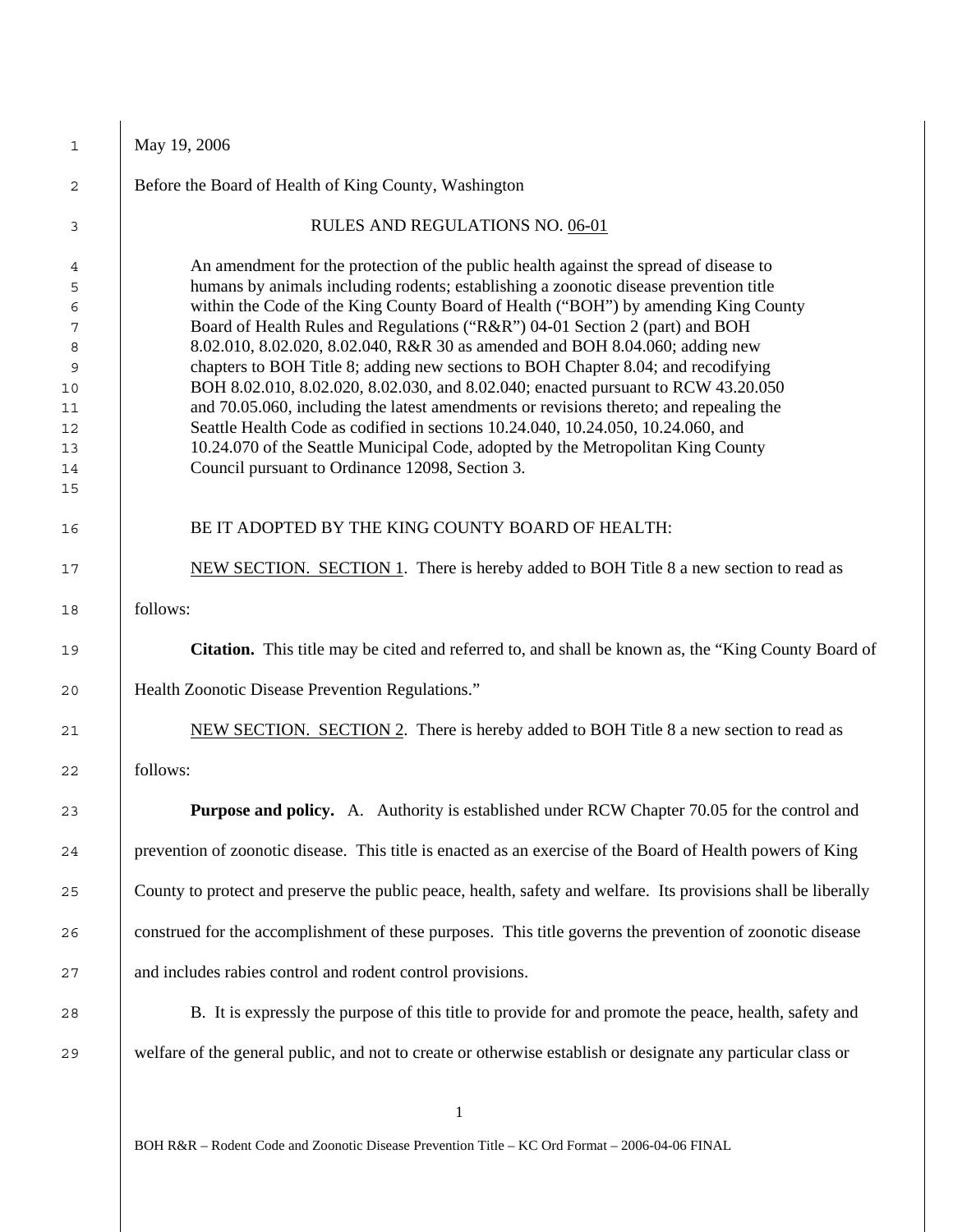| 1        | May 19, 2006                                                                                                                                                                |
|----------|-----------------------------------------------------------------------------------------------------------------------------------------------------------------------------|
| 2        | Before the Board of Health of King County, Washington                                                                                                                       |
| 3        | RULES AND REGULATIONS NO. 06-01                                                                                                                                             |
| 4        | An amendment for the protection of the public health against the spread of disease to                                                                                       |
| 5        | humans by animals including rodents; establishing a zoonotic disease prevention title                                                                                       |
| 6        | within the Code of the King County Board of Health ("BOH") by amending King County                                                                                          |
| 7        | Board of Health Rules and Regulations ("R&R") 04-01 Section 2 (part) and BOH                                                                                                |
| 8        | 8.02.010, 8.02.020, 8.02.040, R&R 30 as amended and BOH 8.04.060; adding new                                                                                                |
| 9        | chapters to BOH Title 8; adding new sections to BOH Chapter 8.04; and recodifying                                                                                           |
| 10<br>11 | BOH 8.02.010, 8.02.020, 8.02.030, and 8.02.040; enacted pursuant to RCW 43.20.050<br>and 70.05.060, including the latest amendments or revisions thereto; and repealing the |
| 12       | Seattle Health Code as codified in sections 10.24.040, 10.24.050, 10.24.060, and                                                                                            |
| 13       | 10.24.070 of the Seattle Municipal Code, adopted by the Metropolitan King County                                                                                            |
| 14       | Council pursuant to Ordinance 12098, Section 3.                                                                                                                             |
| 15       |                                                                                                                                                                             |
| 16       | BE IT ADOPTED BY THE KING COUNTY BOARD OF HEALTH:                                                                                                                           |
| 17       | NEW SECTION. SECTION 1. There is hereby added to BOH Title 8 a new section to read as                                                                                       |
| 18       | follows:                                                                                                                                                                    |
| 19       | <b>Citation.</b> This title may be cited and referred to, and shall be known as, the "King County Board of                                                                  |
| 20       | Health Zoonotic Disease Prevention Regulations."                                                                                                                            |
| 21       | NEW SECTION. SECTION 2. There is hereby added to BOH Title 8 a new section to read as                                                                                       |
| 22       | follows:                                                                                                                                                                    |
| 23       | Purpose and policy. A. Authority is established under RCW Chapter 70.05 for the control and                                                                                 |
| 24       | prevention of zoonotic disease. This title is enacted as an exercise of the Board of Health powers of King                                                                  |
| 25       | County to protect and preserve the public peace, health, safety and welfare. Its provisions shall be liberally                                                              |
| 26       | construed for the accomplishment of these purposes. This title governs the prevention of zoonotic disease                                                                   |
| 27       | and includes rabies control and rodent control provisions.                                                                                                                  |
| 28       | B. It is expressly the purpose of this title to provide for and promote the peace, health, safety and                                                                       |
| 29       | welfare of the general public, and not to create or otherwise establish or designate any particular class or                                                                |
|          |                                                                                                                                                                             |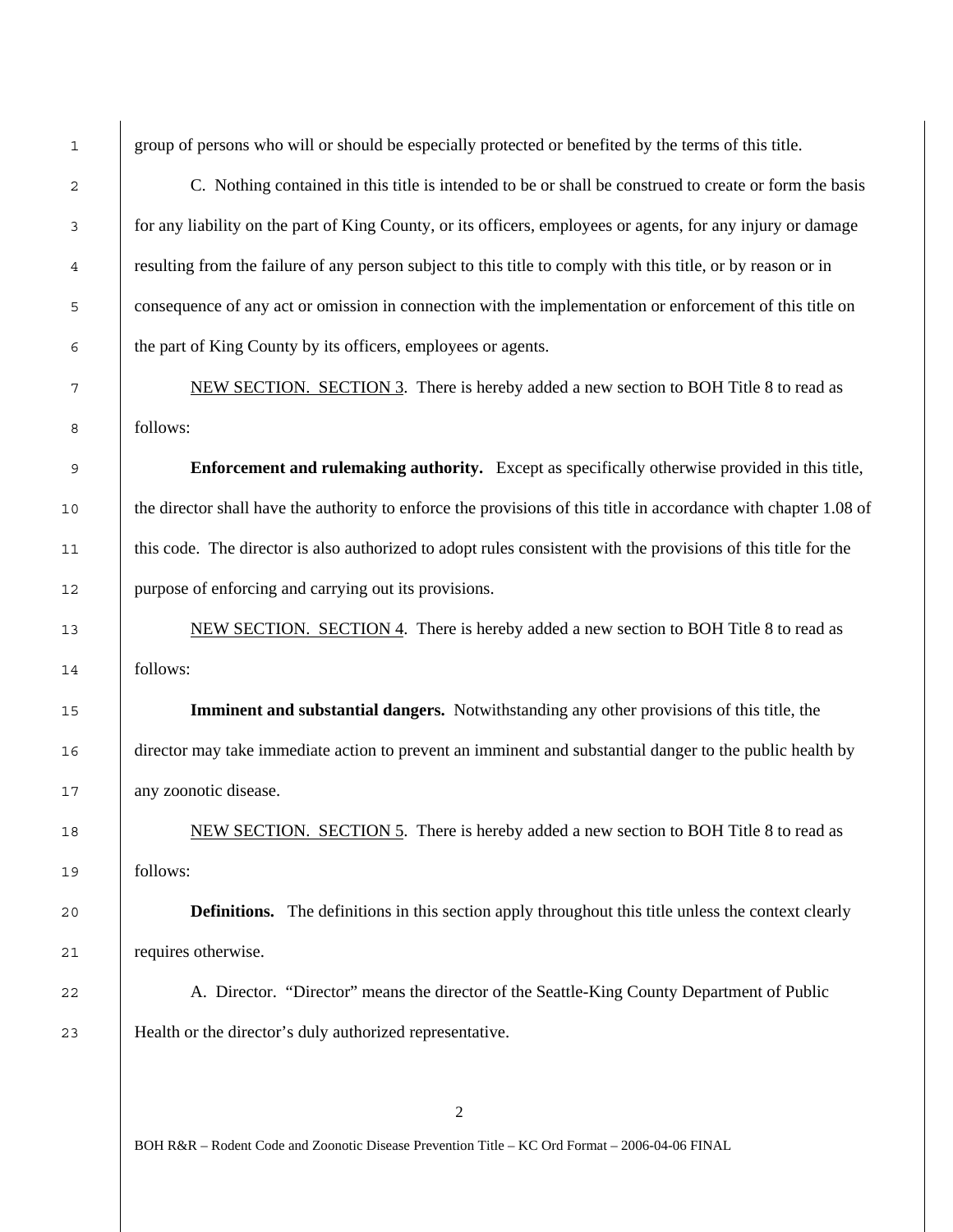group of persons who will or should be especially protected or benefited by the terms of this title.

C. Nothing contained in this title is intended to be or shall be construed to create or form the basis for any liability on the part of King County, or its officers, employees or agents, for any injury or damage resulting from the failure of any person subject to this title to comply with this title, or by reason or in consequence of any act or omission in connection with the implementation or enforcement of this title on the part of King County by its officers, employees or agents.

NEW SECTION. SECTION 3. There is hereby added a new section to BOH Title 8 to read as follows:

**Enforcement and rulemaking authority.** Except as specifically otherwise provided in this title, 10 the director shall have the authority to enforce the provisions of this title in accordance with chapter 1.08 of this code. The director is also authorized to adopt rules consistent with the provisions of this title for the purpose of enforcing and carrying out its provisions.

13 NEW SECTION. SECTION 4. There is hereby added a new section to BOH Title 8 to read as follows:

**Imminent and substantial dangers.** Notwithstanding any other provisions of this title, the director may take immediate action to prevent an imminent and substantial danger to the public health by any zoonotic disease.

18 NEW SECTION. SECTION 5. There is hereby added a new section to BOH Title 8 to read as follows:

**Definitions.** The definitions in this section apply throughout this title unless the context clearly requires otherwise.

22 A. Director. "Director" means the director of the Seattle-King County Department of Public Health or the director's duly authorized representative.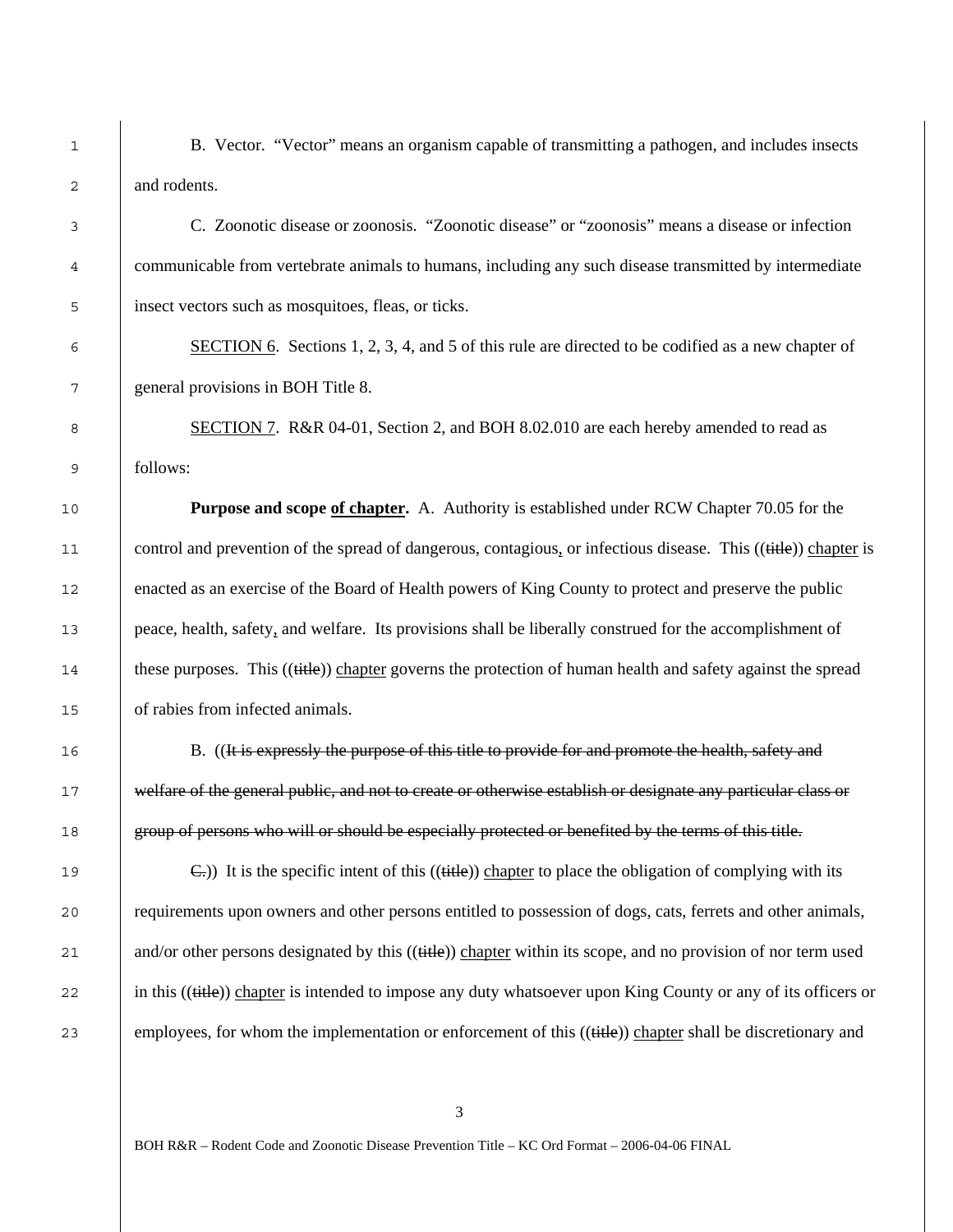1 B. Vector. "Vector" means an organism capable of transmitting a pathogen, and includes insects 2 and rodents.

3 C. Zoonotic disease or zoonosis. "Zoonotic disease" or "zoonosis" means a disease or infection 4 communicable from vertebrate animals to humans, including any such disease transmitted by intermediate 5 insect vectors such as mosquitoes, fleas, or ticks.

6 SECTION 6. Sections 1, 2, 3, 4, and 5 of this rule are directed to be codified as a new chapter of 7 general provisions in BOH Title 8.

8 SECTION 7. R&R 04-01, Section 2, and BOH 8.02.010 are each hereby amended to read as 9 follows:

10 **Purpose and scope of chapter.** A. Authority is established under RCW Chapter 70.05 for the 11 control and prevention of the spread of dangerous, contagious, or infectious disease. This ((title)) chapter is 12 enacted as an exercise of the Board of Health powers of King County to protect and preserve the public 13 peace, health, safety, and welfare. Its provisions shall be liberally construed for the accomplishment of 14 these purposes. This ((title)) chapter governs the protection of human health and safety against the spread 15 of rabies from infected animals.

16 B. ((It is expressly the purpose of this title to provide for and promote the health, safety and 17 **welfare of the general public, and not to create or otherwise establish or designate any particular class or** 18 group of persons who will or should be especially protected or benefited by the terms of this title.

19  $\left\{\n\begin{array}{c}\n\text{C.}\n\end{array}\n\right\}$  It is the specific intent of this ((title)) chapter to place the obligation of complying with its 20 requirements upon owners and other persons entitled to possession of dogs, cats, ferrets and other animals, 21 and/or other persons designated by this ((title)) chapter within its scope, and no provision of nor term used 22 in this ((title)) chapter is intended to impose any duty whatsoever upon King County or any of its officers or 23 employees, for whom the implementation or enforcement of this ((title)) chapter shall be discretionary and

3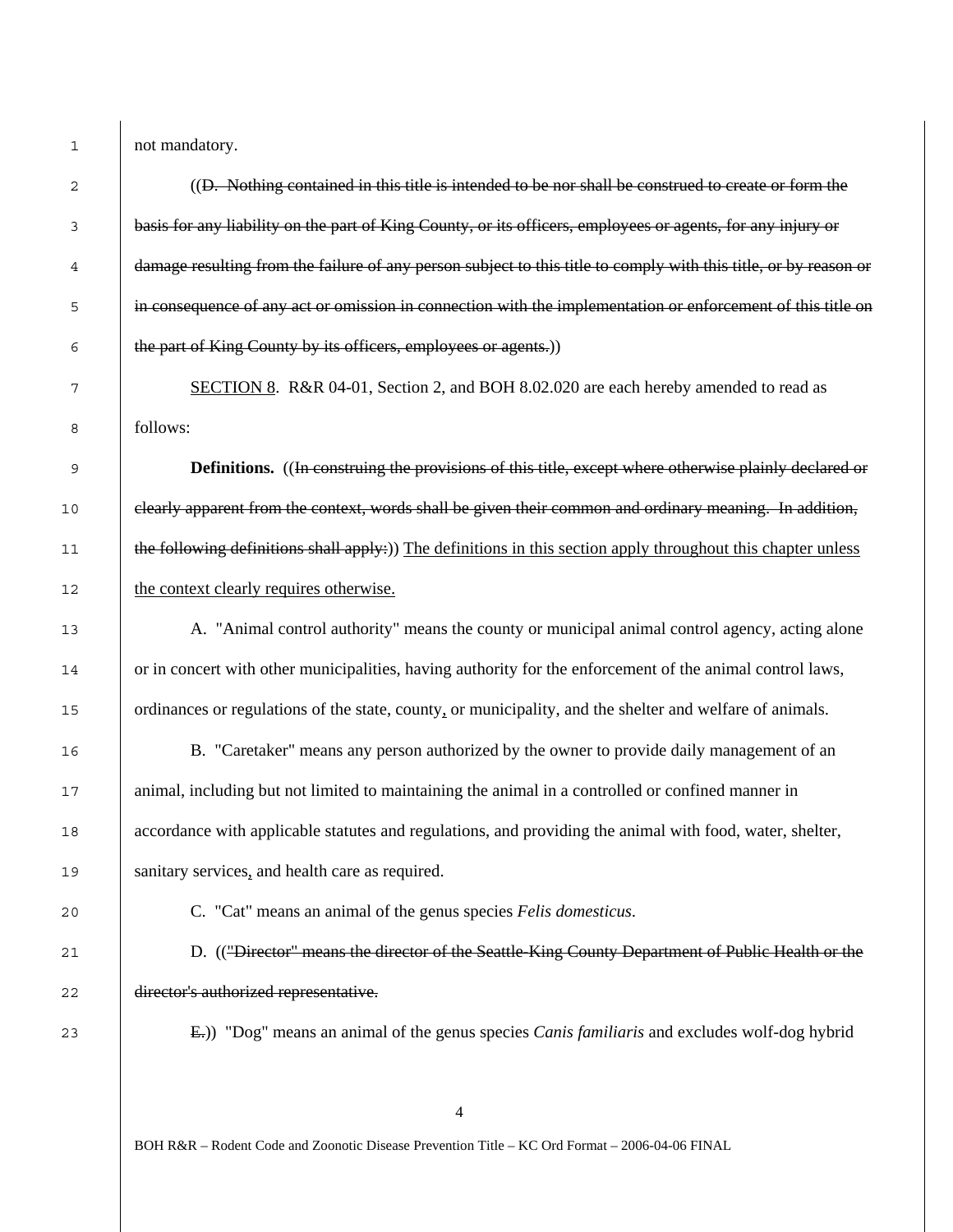1 not mandatory.

| 2  | ((D. Nothing contained in this title is intended to be nor shall be construed to create or form the              |
|----|------------------------------------------------------------------------------------------------------------------|
| 3  | basis for any liability on the part of King County, or its officers, employees or agents, for any injury or      |
| 4  | damage resulting from the failure of any person subject to this title to comply with this title, or by reason or |
| 5  | in consequence of any act or omission in connection with the implementation or enforcement of this title on      |
| 6  | the part of King County by its officers, employees or agents.))                                                  |
| 7  | SECTION 8. R&R 04-01, Section 2, and BOH 8.02.020 are each hereby amended to read as                             |
| 8  | follows:                                                                                                         |
| 9  | <b>Definitions.</b> ((In construing the provisions of this title, except where otherwise plainly declared or     |
| 10 | elearly apparent from the context, words shall be given their common and ordinary meaning. In addition,          |
| 11 | the following definitions shall apply:)) The definitions in this section apply throughout this chapter unless    |
| 12 | the context clearly requires otherwise.                                                                          |
| 13 | A. "Animal control authority" means the county or municipal animal control agency, acting alone                  |
| 14 | or in concert with other municipalities, having authority for the enforcement of the animal control laws,        |
| 15 | ordinances or regulations of the state, county, or municipality, and the shelter and welfare of animals.         |
| 16 | B. "Caretaker" means any person authorized by the owner to provide daily management of an                        |
| 17 | animal, including but not limited to maintaining the animal in a controlled or confined manner in                |
| 18 | accordance with applicable statutes and regulations, and providing the animal with food, water, shelter,         |
| 19 | sanitary services, and health care as required.                                                                  |
| 20 | C. "Cat" means an animal of the genus species Felis domesticus.                                                  |
| 21 | D. (("Director" means the director of the Seattle-King County Department of Public Health or the                 |
| 22 | director's authorized representative.                                                                            |
| 23 | E.)) "Dog" means an animal of the genus species Canis familiaris and excludes wolf-dog hybrid                    |
|    |                                                                                                                  |
|    |                                                                                                                  |

BOH R&R – Rodent Code and Zoonotic Disease Prevention Title – KC Ord Format – 2006-04-06 FINAL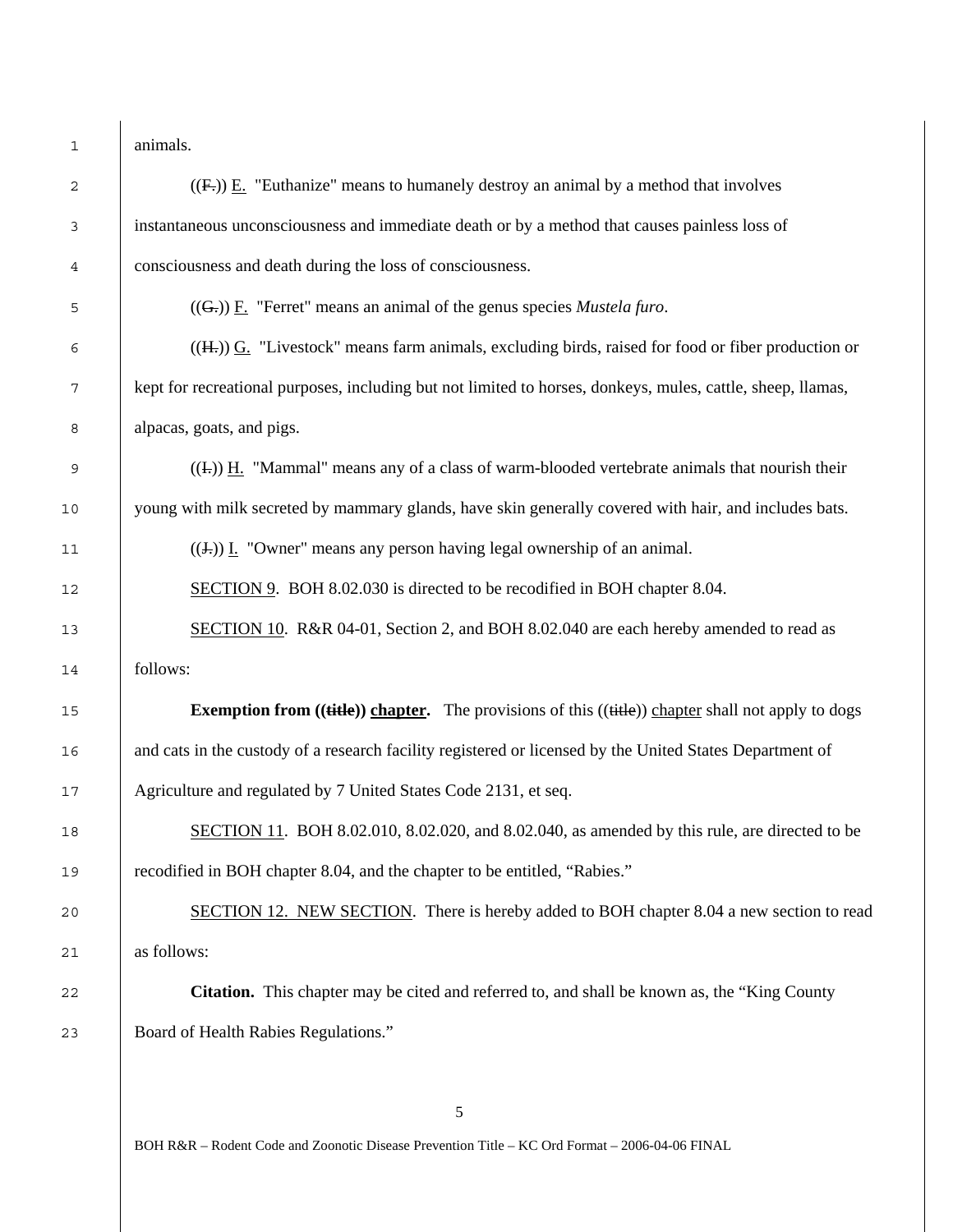animals.

| 2      | $((Fz))$ E. "Euthanize" means to humanely destroy an animal by a method that involves                              |
|--------|--------------------------------------------------------------------------------------------------------------------|
| 3      | instantaneous unconsciousness and immediate death or by a method that causes painless loss of                      |
| 4      | consciousness and death during the loss of consciousness.                                                          |
| 5      | $((Gz))$ F. "Ferret" means an animal of the genus species <i>Mustela furo</i> .                                    |
| 6      | $(\overline{H_{\tau}})$ G. "Livestock" means farm animals, excluding birds, raised for food or fiber production or |
| 7      | kept for recreational purposes, including but not limited to horses, donkeys, mules, cattle, sheep, llamas,        |
| 8      | alpacas, goats, and pigs.                                                                                          |
| 9      | $((\text{L}))$ H. "Mammal" means any of a class of warm-blooded vertebrate animals that nourish their              |
| $10$   | young with milk secreted by mammary glands, have skin generally covered with hair, and includes bats.              |
| $11\,$ | $((\text{J})$ . "Owner" means any person having legal ownership of an animal.                                      |
| $12$   | SECTION 9. BOH 8.02.030 is directed to be recodified in BOH chapter 8.04.                                          |
| 13     | SECTION 10. R&R 04-01, Section 2, and BOH 8.02.040 are each hereby amended to read as                              |
| 14     | follows:                                                                                                           |
| 15     | <b>Exemption from ((title)) chapter.</b> The provisions of this ((title)) chapter shall not apply to dogs          |
| 16     | and cats in the custody of a research facility registered or licensed by the United States Department of           |
| 17     | Agriculture and regulated by 7 United States Code 2131, et seq.                                                    |
| 18     | SECTION 11. BOH 8.02.010, 8.02.020, and 8.02.040, as amended by this rule, are directed to be                      |
| 19     | recodified in BOH chapter 8.04, and the chapter to be entitled, "Rabies."                                          |
| 20     | SECTION 12. NEW SECTION. There is hereby added to BOH chapter 8.04 a new section to read                           |
| 21     | as follows:                                                                                                        |
| 22     | <b>Citation.</b> This chapter may be cited and referred to, and shall be known as, the "King County"               |
| 23     | Board of Health Rabies Regulations."                                                                               |
|        |                                                                                                                    |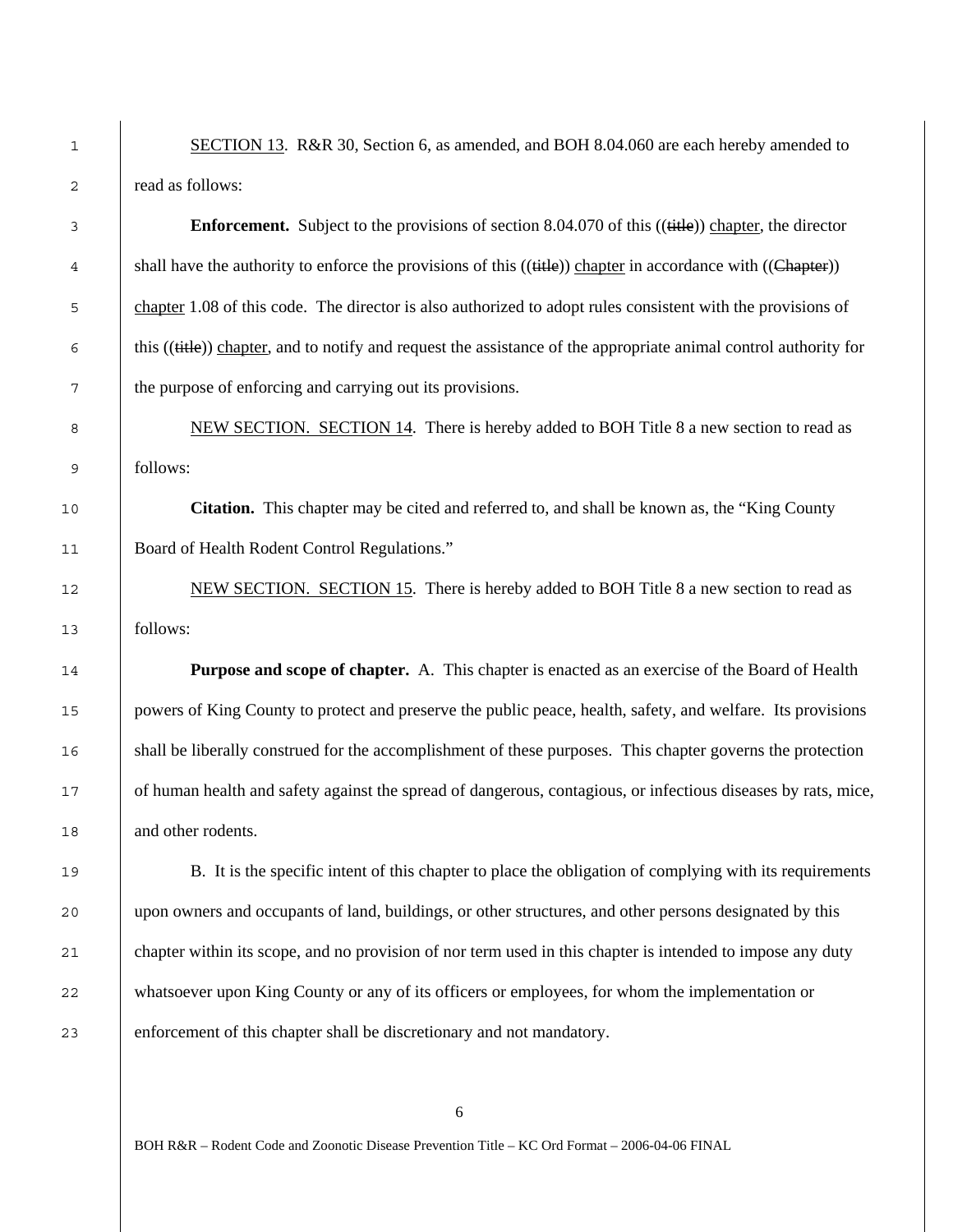1 SECTION 13. R&R 30, Section 6, as amended, and BOH 8.04.060 are each hereby amended to 2 read as follows:

**Enforcement.** Subject to the provisions of section 8.04.070 of this ((title)) chapter, the director 4 shall have the authority to enforce the provisions of this  $((\text{title}))$  chapter in accordance with  $((\text{Chapter}))$ 5 chapter 1.08 of this code. The director is also authorized to adopt rules consistent with the provisions of  $6$  this ((title)) chapter, and to notify and request the assistance of the appropriate animal control authority for 7 the purpose of enforcing and carrying out its provisions.

8 NEW SECTION. SECTION 14. There is hereby added to BOH Title 8 a new section to read as 9 follows:

10 **Citation.** This chapter may be cited and referred to, and shall be known as, the "King County 11 Board of Health Rodent Control Regulations."

12 NEW SECTION. SECTION 15. There is hereby added to BOH Title 8 a new section to read as 13 follows:

14 **Purpose and scope of chapter.** A. This chapter is enacted as an exercise of the Board of Health 15 powers of King County to protect and preserve the public peace, health, safety, and welfare. Its provisions 16 shall be liberally construed for the accomplishment of these purposes. This chapter governs the protection 17 of human health and safety against the spread of dangerous, contagious, or infectious diseases by rats, mice, 18 and other rodents.

19 B. It is the specific intent of this chapter to place the obligation of complying with its requirements 20 upon owners and occupants of land, buildings, or other structures, and other persons designated by this 21 chapter within its scope, and no provision of nor term used in this chapter is intended to impose any duty 22 whatsoever upon King County or any of its officers or employees, for whom the implementation or 23 enforcement of this chapter shall be discretionary and not mandatory.

6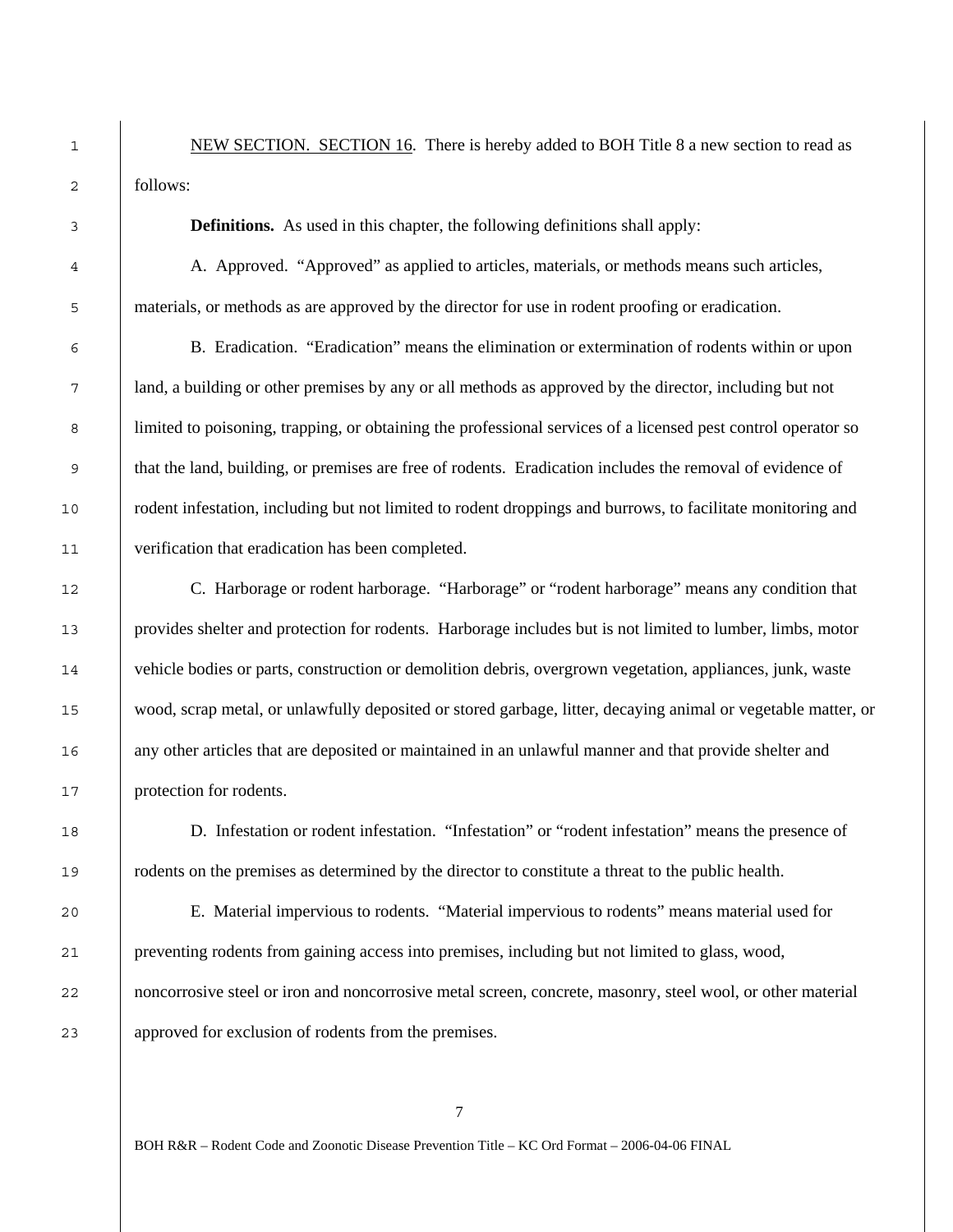1 NEW SECTION. SECTION 16. There is hereby added to BOH Title 8 a new section to read as follows:

**Definitions.** As used in this chapter, the following definitions shall apply:

A. Approved. "Approved" as applied to articles, materials, or methods means such articles, materials, or methods as are approved by the director for use in rodent proofing or eradication.

B. Eradication. "Eradication" means the elimination or extermination of rodents within or upon land, a building or other premises by any or all methods as approved by the director, including but not 8 limited to poisoning, trapping, or obtaining the professional services of a licensed pest control operator so that the land, building, or premises are free of rodents. Eradication includes the removal of evidence of rodent infestation, including but not limited to rodent droppings and burrows, to facilitate monitoring and verification that eradication has been completed.

C. Harborage or rodent harborage. "Harborage" or "rodent harborage" means any condition that provides shelter and protection for rodents. Harborage includes but is not limited to lumber, limbs, motor vehicle bodies or parts, construction or demolition debris, overgrown vegetation, appliances, junk, waste wood, scrap metal, or unlawfully deposited or stored garbage, litter, decaying animal or vegetable matter, or any other articles that are deposited or maintained in an unlawful manner and that provide shelter and protection for rodents.

D. Infestation or rodent infestation. "Infestation" or "rodent infestation" means the presence of rodents on the premises as determined by the director to constitute a threat to the public health.

E. Material impervious to rodents. "Material impervious to rodents" means material used for preventing rodents from gaining access into premises, including but not limited to glass, wood, 22 noncorrosive steel or iron and noncorrosive metal screen, concrete, masonry, steel wool, or other material approved for exclusion of rodents from the premises.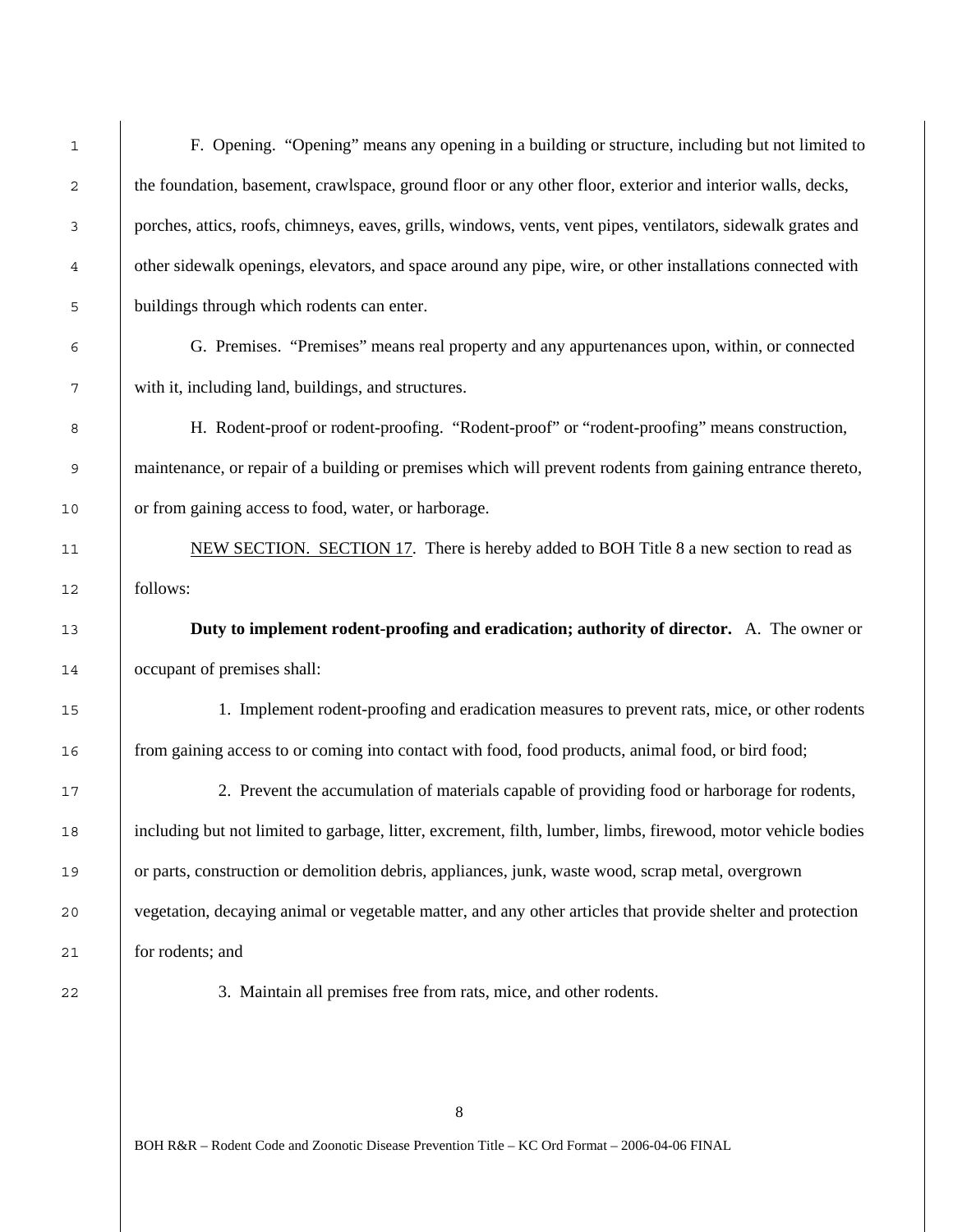| 1  | F. Opening. "Opening" means any opening in a building or structure, including but not limited to              |
|----|---------------------------------------------------------------------------------------------------------------|
| 2  | the foundation, basement, crawlspace, ground floor or any other floor, exterior and interior walls, decks,    |
| 3  | porches, attics, roofs, chimneys, eaves, grills, windows, vents, vent pipes, ventilators, sidewalk grates and |
| 4  | other sidewalk openings, elevators, and space around any pipe, wire, or other installations connected with    |
| 5  | buildings through which rodents can enter.                                                                    |
| 6  | G. Premises. "Premises" means real property and any appurtenances upon, within, or connected                  |
| 7  | with it, including land, buildings, and structures.                                                           |
| 8  | H. Rodent-proof or rodent-proofing. "Rodent-proof" or "rodent-proofing" means construction,                   |
| 9  | maintenance, or repair of a building or premises which will prevent rodents from gaining entrance thereto,    |
| 10 | or from gaining access to food, water, or harborage.                                                          |
| 11 | NEW SECTION. SECTION 17. There is hereby added to BOH Title 8 a new section to read as                        |
| 12 | follows:                                                                                                      |
| 13 | Duty to implement rodent-proofing and eradication; authority of director. A. The owner or                     |
| 14 | occupant of premises shall:                                                                                   |
| 15 | 1. Implement rodent-proofing and eradication measures to prevent rats, mice, or other rodents                 |
| 16 | from gaining access to or coming into contact with food, food products, animal food, or bird food;            |
| 17 | 2. Prevent the accumulation of materials capable of providing food or harborage for rodents,                  |
| 18 | including but not limited to garbage, litter, excrement, filth, lumber, limbs, firewood, motor vehicle bodies |
| 19 | or parts, construction or demolition debris, appliances, junk, waste wood, scrap metal, overgrown             |
| 20 | vegetation, decaying animal or vegetable matter, and any other articles that provide shelter and protection   |
| 21 | for rodents; and                                                                                              |
| 22 | 3. Maintain all premises free from rats, mice, and other rodents.                                             |
|    |                                                                                                               |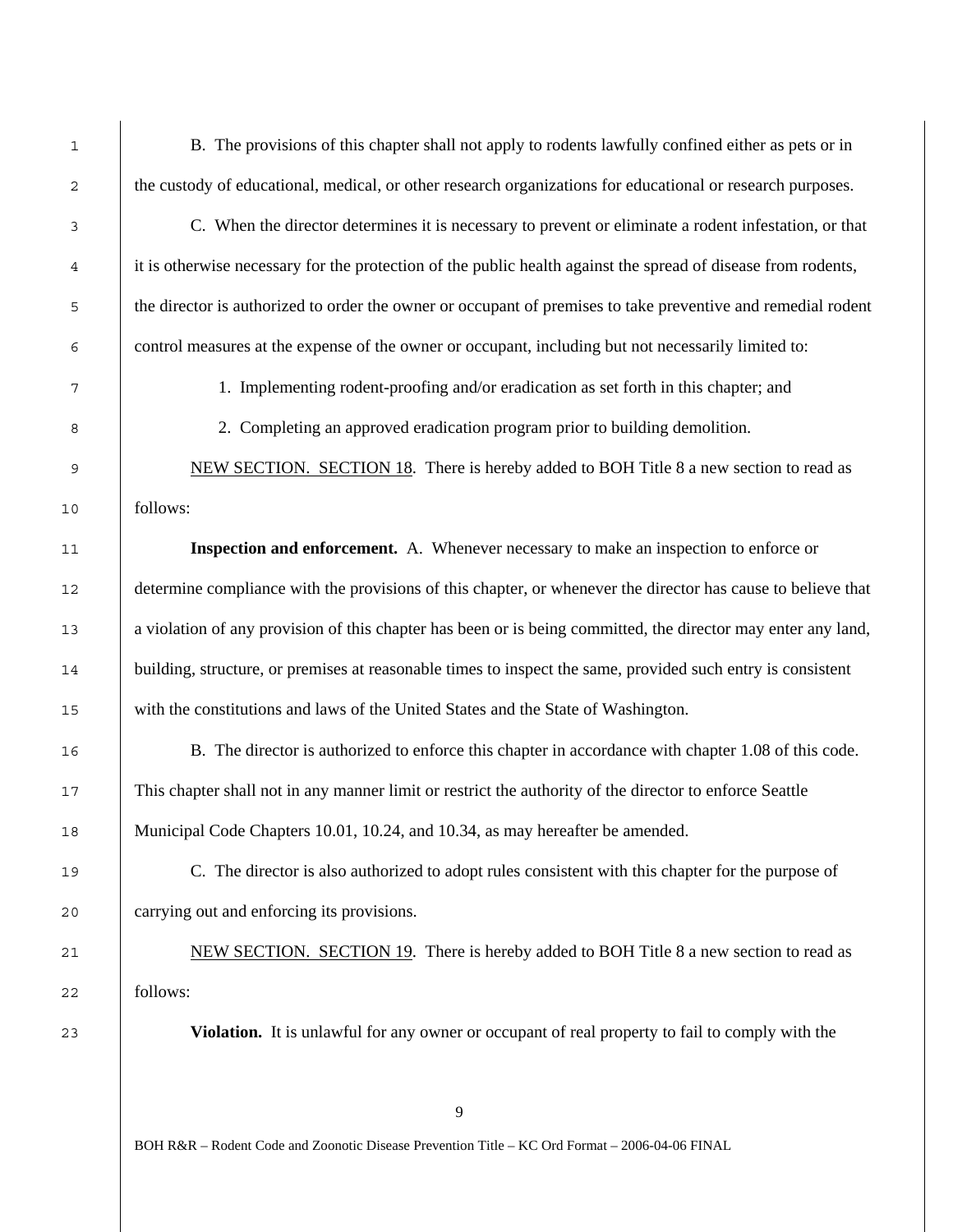B. The provisions of this chapter shall not apply to rodents lawfully confined either as pets or in the custody of educational, medical, or other research organizations for educational or research purposes.

C. When the director determines it is necessary to prevent or eliminate a rodent infestation, or that it is otherwise necessary for the protection of the public health against the spread of disease from rodents, the director is authorized to order the owner or occupant of premises to take preventive and remedial rodent control measures at the expense of the owner or occupant, including but not necessarily limited to:

1. Implementing rodent-proofing and/or eradication as set forth in this chapter; and

2. Completing an approved eradication program prior to building demolition.

9 NEW SECTION. SECTION 18. There is hereby added to BOH Title 8 a new section to read as follows:

**Inspection and enforcement.** A. Whenever necessary to make an inspection to enforce or 12 determine compliance with the provisions of this chapter, or whenever the director has cause to believe that a violation of any provision of this chapter has been or is being committed, the director may enter any land, 14 building, structure, or premises at reasonable times to inspect the same, provided such entry is consistent with the constitutions and laws of the United States and the State of Washington.

B. The director is authorized to enforce this chapter in accordance with chapter 1.08 of this code. This chapter shall not in any manner limit or restrict the authority of the director to enforce Seattle 18 Municipal Code Chapters 10.01, 10.24, and 10.34, as may hereafter be amended.

C. The director is also authorized to adopt rules consistent with this chapter for the purpose of carrying out and enforcing its provisions.

21 NEW SECTION. SECTION 19. There is hereby added to BOH Title 8 a new section to read as follows:

**Violation.** It is unlawful for any owner or occupant of real property to fail to comply with the